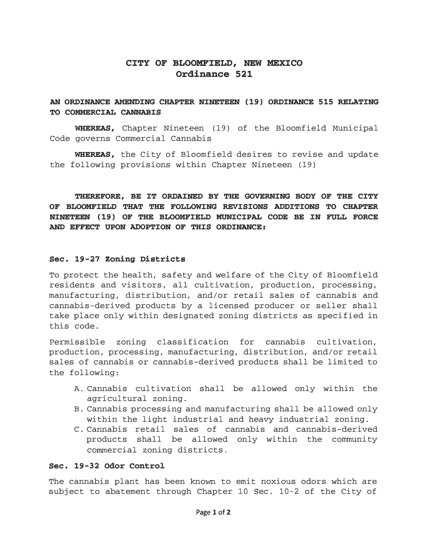# CITY OF BLOOMFIELD, NEW MEXICO Ordinance 521

# AN ORDINANCE AMENDING CHAPTER NINETEEN (19) ORDINANCE 515 RELATING TO COMMERCIAL CANNABIS

WHEREAS, Chapter Nineteen (19} of the Bloomfield Municipal Code governs Commercial Cannabis

WHEREAS, the City of Bloomfield desires to revise and update the following provisions within Chapter Nineteen (19}

THEREFORE, BE IT ORDAINED BY THE GOVERNING BODY OF THE CITY OF BLOOMFIELD THAT THE FOLLOWING REVISIONS ADDITIONS TO CHAPTER NINETEEN (19) OF THE BLOOMFIELD MUNICIPAL CODE BE IN FULL FORCE AND EFFECT UPON ADOPTION OF THIS ORDINANCE:

## Sec. 19-27 Zoning Districts

To protect the health, safety and welfare of the City of Bloomfield residents and visitors, all cultivation, production, processing, manufacturing, distribution, and/or retail sales of cannabis and cannabis-derived products by a licensed producer or seller shall take place only within designated zoning districts as specified in this code.

Permissible zoning classification for cannabis cultivation, production, processing, manufacturing, distribution, and/or retail sales of cannabis or cannabis-derived products shall be limited to the following:

- A. Cannabis cultivation shall be allowed only within the agricultural zoning.
- B. Cannabis processing and manufacturing shall be allowed only within the light industrial and heavy industrial zoning.
- C. Cannabis retail sales of cannabis and cannabis-derived products shall be allowed only within the community commercial zoning districts.

## Sec. 19-32 Odor Control

The cannabis plant has been known to emit noxious odors which are subject to abatement through Chapter 10 Sec. 10-2 of the City of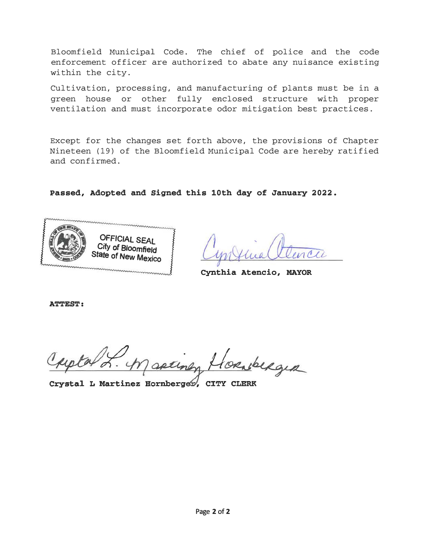Bloomfield Municipal Code. The chief of police and the code enforcement officer are authorized to abate any nuisance existing within the city.

Cultivation, processing, and manufacturing of plants must be in a green house or other fully enclosed structure with proper ventilation and must incorporate odor mitigation best practices.

Except for the changes set forth above, the provisions of Chapter Nineteen ( 19) of the Bloomfield Municipal Code are hereby ratified and confirmed.

Passed, Adopted and Signed this 10th day of January 2022.



v

Cynthia Atencio, MAYOR

ATTEST:

torsberger

Crystal L Martinez Hornberger, CITY CLERK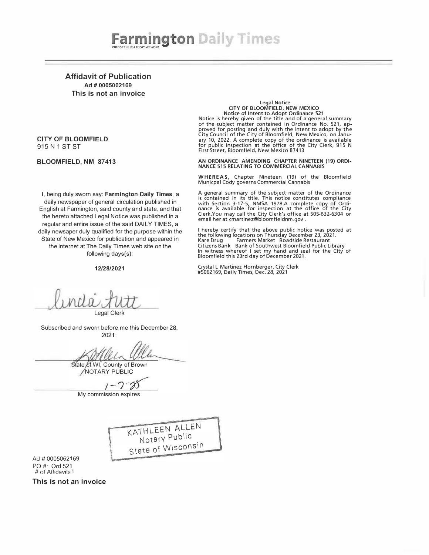Affidavit of Publication Ad # 0005062169 This is not an invoice

### CITY OF BLOOMFIELD 915 N 1 ST ST

### BLOOMFIELD, NM 87413

Legal Notice<br>CITY OF BLOOMFIELD, NEW MEXICO<br>Notice is hereby given of the title and of a general summary<br>Notice is hereby given of the title and of a general summary of the subject matter contained in Ordinance No. 521, approved for posting and duly with the intent to adopt by the City Council of the City of Bloomfield, New Mexico, on January 10, 2022. A complete copy of the ordinance is available for public inspection at the office of the City Clerk, 915 N First Street, Bloomfield, New Mexico 87413

AN ORDINANCE AMENDING CHAPTER NINETEEN (19) ORDI-NANCE 515 RELATING TO COMMERCIAL CANNABIS

WHER EAS, Chapter Nineteen (19) of the Bloomfield Municpal Cody governs Commercial Cannabis

A general summary of the subject matter of the Ordinance is contained in its title. This notice constitutes compliance with Section 3-17-5, NMSA 1978.A complete copy of Ordi-nance is available for inspection at the office of the City Clerk.You may call the City Clerk's office at 505-632-6304 or email her at cmartinez@bloomfieldnm.gov .

I hereby certify that the above public notice was posted at<br>the following locations on Thursday December 23, 2021.<br>Kare Drug Farmers Market Roadside Restaurant Citizens Bank Bank of Southwest Bloomfield Public Library In witness whereof I set my hand and seal for the City of Bloomfield this 23rd day of December 2021.

Crystal L Martinez Hornberger, City Clerk #5062169, Daily Times, Dec. 28, 2021

daily newspaper of general circulation published in English at Farmington, said county and state, and that the hereto attached Legal Notice was published in a regular and entire issue of the said DAILY TIMES, a daily newsaper duly qualified for the purpose within the State of New Mexico for publication and appeared in the internet at The Daily Times web site on the following days(s):

I, being duly sworn say: Farmington Daily Times, a

#### 12/28/2021

Legal Clerk

Subscribed and sworn before me this December 28, 2021:

Slate of WI, County of Brown NOTARY PUBLIC

 $1 - 278$ 

My commission expires

KATHLEEN ALLEN Notary Public State of Wisconsin

1

Ad# 0005062169 PO#: Ord 521 # of Affidavits 1

This is not an invoice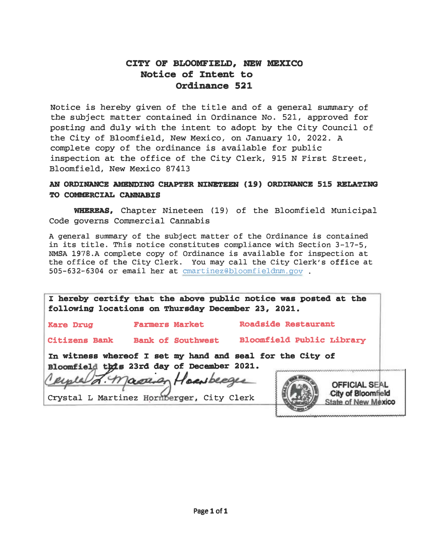# CZTY OF BLOOMFIELD, NEW MEXZCO Notice of Intent to Ordinance 521

Notice is hereby given of the title and of a general summary of the subject matter contained in Ordinance No. 521, approved for posting and duly with the intent to adopt by the City Council of the City of Bloomfield, New Mexico, on January 10, 2022. <sup>A</sup> complete copy of the ordinance is available for public inspection at the office of the City Clerk, 915 N First Street, Bloomfield, New Mexico 87413

# AN ORDINANCE AMENDING CHAPTER NINETEEN (19) ORDINANCE 515 RELATING TO COMMERCIAL CANNABIS

WHEREAS, Chapter Nineteen (19) of the Bloomfield Municipal Code governs Commercial Cannabis

A general summary of the subject matter of the Ordinance is contained in its title. This notice constitutes compliance with Section 3-17-5, NMSA 1978.A complete copy of Ordinance is available for inspection at the office of the City Clerk. You may call the City Clerk's office at 505-632-6304 or email her at cmartinez@bloomfieldnm.gov .

|                      | I hereby certify that the above public notice was posted at the<br>following locations on Thursday December 23, 2021.                                                                 |                            |                                                                          |
|----------------------|---------------------------------------------------------------------------------------------------------------------------------------------------------------------------------------|----------------------------|--------------------------------------------------------------------------|
| <b>Kare Drug</b>     | <b>Farmers Market</b>                                                                                                                                                                 | <b>Roadside Restaurant</b> |                                                                          |
| <b>Citizens Bank</b> | <b>Bank of Southwest</b>                                                                                                                                                              | Bloomfield Public Library  |                                                                          |
|                      | In witness whereof I set my hand and seal for the City of<br>Bloomfield this 23rd day of December 2021.<br>Cemerald F. Masser Housberges<br>Crystal L Martinez Hornberger, City Clerk |                            | <b>OFFICIAL SEAL</b><br>City of Bloomfield<br><b>State of New Mexico</b> |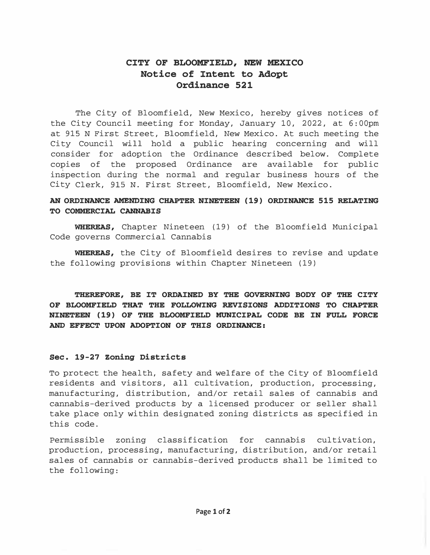# CITY OF BLOOMFIELD, NEW MEXICO Notice of Intent to Adopt Ordinance 521

The City of Bloomfield, New Mexico, hereby gives notices of the City Council meeting for Monday, January 10, 2022, at 6:00pm at 915 N First Street, Bloomfield, New Mexico. At such meeting the City Council will hold a public hearing concerning and will consider for adoption the Ordinance described below. Complete copies of the proposed Ordinance are available for public inspection during the normal and regular business hours of the City Clerk, 915 N. First Street, Bloomfield, New Mexico.

# AN ORDINANCE AMENDING CHAPTER NINETEEN (19) ORDINANCE 515 RELATING TO COMMERCIAL CANNABIS

WHEREAS, Chapter Nineteen (19) of the Bloomfield Municipal Code governs Commercial Cannabis

WHEREAS, the City of Bloomfield desires to revise and update the following provisions within Chapter Nineteen (19)

THEREFORE, BE IT ORDAINED BY THE GOVERNING BODY OF THE CITY OF BLOOMFIELD THAT THE FOLLOWING REVISIONS ADDITIONS TO CHAPTER NINETEEN (19) OF THE BLOOMFIELD MUNICIPAL CODE BE IN FULL FORCE AND EFFECT UPON ADOPTION OF THIS ORDINANCE:

## Sec. 19-27 zoning Districts

To protect the health, safety and welfare of the City of Bloomfield residents and visitors, all cultivation, production, processing, manufacturing, distribution, and/or retail sales of cannabis and cannabis-derived products by a licensed producer or seller shall take place only within designated zoning districts as specified in this code.

Permissible zoning classification for cannabis cultivation, production, processing, manufacturing, distribution, and/or retail sales of cannabis or cannabis-derived products shall be limited to the following: